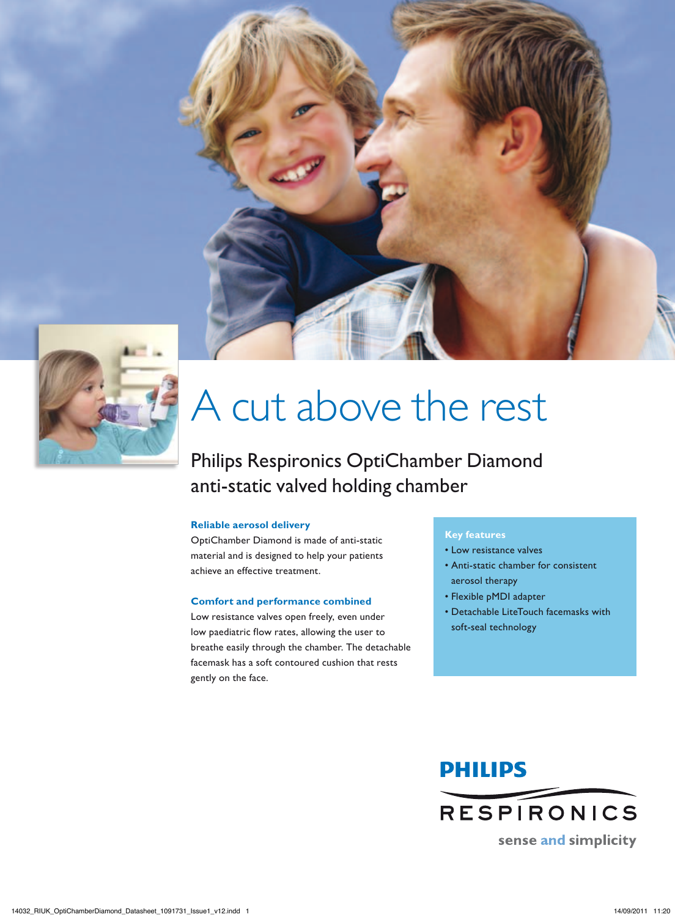



## A cut above the rest

### Philips Respironics OptiChamber Diamond anti-static valved holding chamber

#### **Reliable aerosol delivery**

OptiChamber Diamond is made of anti-static material and is designed to help your patients achieve an effective treatment.

#### **Comfort and performance combined**

Low resistance valves open freely, even under low paediatric flow rates, allowing the user to breathe easily through the chamber. The detachable facemask has a soft contoured cushion that rests gently on the face.

#### **Key features**

- Low resistance valves
- Anti-static chamber for consistent aerosol therapy
- Flexible pMDI adapter
- Detachable LiteTouch facemasks with soft-seal technology



14032\_RIUK\_OptiChamberDiamond\_Datasheet\_1091731\_Issue1\_v12.indd 1 14/09/2011 11:20